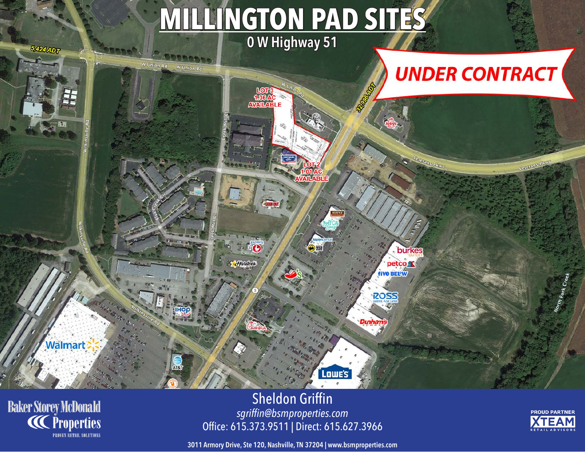## **MILLINGTON PAD SITES 0 W Highway 51**

ETOUR<br>1.36AC<br>AVAILABL

O

Hardees

**REGISTER** 

## **UNDER CONTRACT**

Veterans Pkw

burkes

petco<sub></sub> **five BELW** 

**ROSS** 

Dunham

**Baker Storey McDonald**<br>**CC** Properties

Walmart

**5,424 ADT** 

**BREAK** 

**E. SERROSS** 

AT&

W Union Rd

Sheldon Griffin *sgriffin@bsmproperties.com* Office: 615.373.9511 | Direct: 615.627.3966

Lowe's



**3011 Armory Drive, Ste 120, Nashville, TN 37204 | www.bsmproperties.com**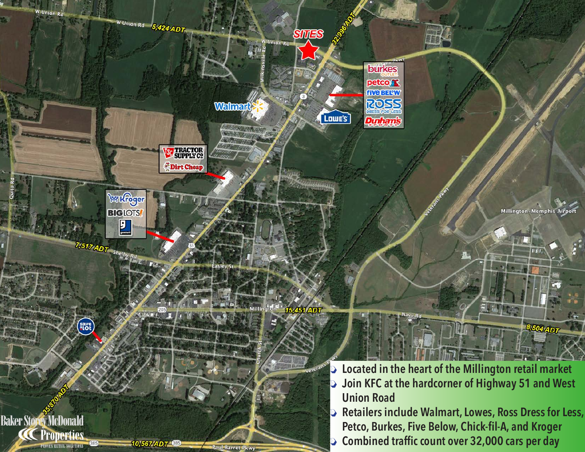